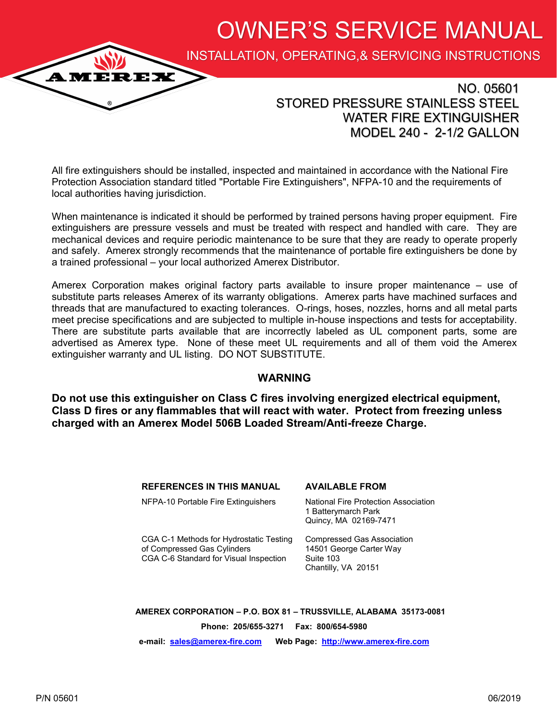OWNER'S SERVICE MANUAL

INSTALLATION, OPERATING,& SERVICING INSTRUCTIONS

## NO. 05601 STORED PRESSURE STAINLESS STEEL WATER FIRE EXTINGUISHER MODEL 240 - 2-1/2 GALLON

All fire extinguishers should be installed, inspected and maintained in accordance with the National Fire Protection Association standard titled "Portable Fire Extinguishers", NFPA-10 and the requirements of local authorities having jurisdiction.

When maintenance is indicated it should be performed by trained persons having proper equipment. Fire extinguishers are pressure vessels and must be treated with respect and handled with care. They are mechanical devices and require periodic maintenance to be sure that they are ready to operate properly and safely. Amerex strongly recommends that the maintenance of portable fire extinguishers be done by a trained professional – your local authorized Amerex Distributor.

Amerex Corporation makes original factory parts available to insure proper maintenance – use of substitute parts releases Amerex of its warranty obligations. Amerex parts have machined surfaces and threads that are manufactured to exacting tolerances. O-rings, hoses, nozzles, horns and all metal parts meet precise specifications and are subjected to multiple in-house inspections and tests for acceptability. There are substitute parts available that are incorrectly labeled as UL component parts, some are advertised as Amerex type. None of these meet UL requirements and all of them void the Amerex extinguisher warranty and UL listing. DO NOT SUBSTITUTE.

#### **WARNING**

**Do not use this extinguisher on Class C fires involving energized electrical equipment, Class D fires or any flammables that will react with water. Protect from freezing unless charged with an Amerex Model 506B Loaded Stream/Anti-freeze Charge.**

#### **REFERENCES IN THIS MANUAL AVAILABLE FROM**

NFPA-10 Portable Fire Extinguishers National Fire Protection Association

1 Batterymarch Park Quincy, MA 02169-7471

CGA C-1 Methods for Hydrostatic Testing Compressed Gas Association of Compressed Gas Cylinders 14501 George Carter Way CGA C-6 Standard for Visual Inspection Suite 103

Chantilly, VA 20151

**AMEREX CORPORATION – P.O. BOX 81 – TRUSSVILLE, ALABAMA 35173-0081**

**Phone: 205/655-3271 Fax: 800/654-5980**

**e-mail: [sales@amerex](mailto:sales@amerex-fire.com)-fire.com Web Page: [http://www.amerex](http://www.amerex-fire.com)-fire.com**

**AMEREX**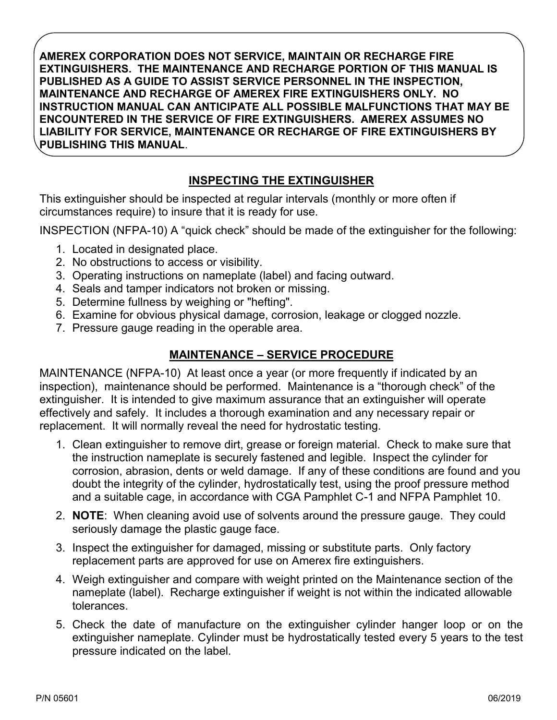**AMEREX CORPORATION DOES NOT SERVICE, MAINTAIN OR RECHARGE FIRE EXTINGUISHERS. THE MAINTENANCE AND RECHARGE PORTION OF THIS MANUAL IS PUBLISHED AS A GUIDE TO ASSIST SERVICE PERSONNEL IN THE INSPECTION, MAINTENANCE AND RECHARGE OF AMEREX FIRE EXTINGUISHERS ONLY. NO INSTRUCTION MANUAL CAN ANTICIPATE ALL POSSIBLE MALFUNCTIONS THAT MAY BE ENCOUNTERED IN THE SERVICE OF FIRE EXTINGUISHERS. AMEREX ASSUMES NO LIABILITY FOR SERVICE, MAINTENANCE OR RECHARGE OF FIRE EXTINGUISHERS BY PUBLISHING THIS MANUAL**.

## **INSPECTING THE EXTINGUISHER**

This extinguisher should be inspected at regular intervals (monthly or more often if circumstances require) to insure that it is ready for use.

INSPECTION (NFPA-10) A "quick check" should be made of the extinguisher for the following:

- 1. Located in designated place.
- 2. No obstructions to access or visibility.
- 3. Operating instructions on nameplate (label) and facing outward.
- 4. Seals and tamper indicators not broken or missing.
- 5. Determine fullness by weighing or "hefting".
- 6. Examine for obvious physical damage, corrosion, leakage or clogged nozzle.
- 7. Pressure gauge reading in the operable area.

## **MAINTENANCE – SERVICE PROCEDURE**

MAINTENANCE (NFPA-10) At least once a year (or more frequently if indicated by an inspection), maintenance should be performed. Maintenance is a "thorough check" of the extinguisher. It is intended to give maximum assurance that an extinguisher will operate effectively and safely. It includes a thorough examination and any necessary repair or replacement. It will normally reveal the need for hydrostatic testing.

- 1. Clean extinguisher to remove dirt, grease or foreign material. Check to make sure that the instruction nameplate is securely fastened and legible. Inspect the cylinder for corrosion, abrasion, dents or weld damage. If any of these conditions are found and you doubt the integrity of the cylinder, hydrostatically test, using the proof pressure method and a suitable cage, in accordance with CGA Pamphlet C-1 and NFPA Pamphlet 10.
- 2. **NOTE**: When cleaning avoid use of solvents around the pressure gauge. They could seriously damage the plastic gauge face.
- 3. Inspect the extinguisher for damaged, missing or substitute parts. Only factory replacement parts are approved for use on Amerex fire extinguishers.
- 4. Weigh extinguisher and compare with weight printed on the Maintenance section of the nameplate (label). Recharge extinguisher if weight is not within the indicated allowable tolerances.
- 5. Check the date of manufacture on the extinguisher cylinder hanger loop or on the extinguisher nameplate. Cylinder must be hydrostatically tested every 5 years to the test pressure indicated on the label.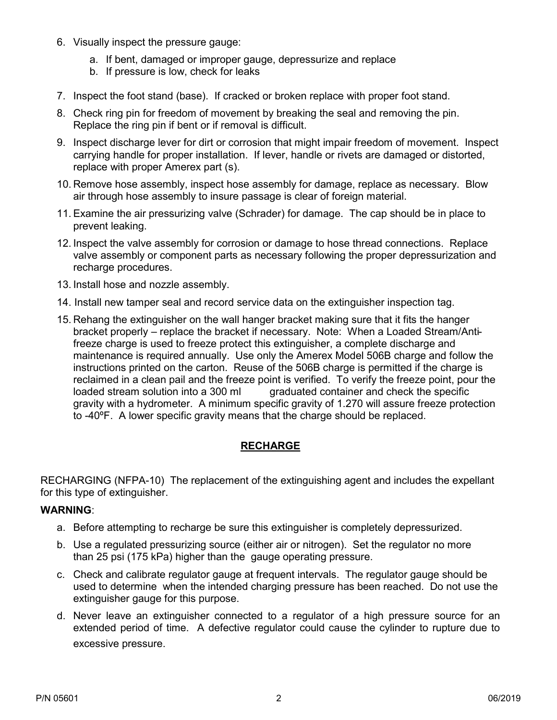- 6. Visually inspect the pressure gauge:
	- a. If bent, damaged or improper gauge, depressurize and replace
	- b. If pressure is low, check for leaks
- 7. Inspect the foot stand (base). If cracked or broken replace with proper foot stand.
- 8. Check ring pin for freedom of movement by breaking the seal and removing the pin. Replace the ring pin if bent or if removal is difficult.
- 9. Inspect discharge lever for dirt or corrosion that might impair freedom of movement. Inspect carrying handle for proper installation. If lever, handle or rivets are damaged or distorted, replace with proper Amerex part (s).
- 10. Remove hose assembly, inspect hose assembly for damage, replace as necessary. Blow air through hose assembly to insure passage is clear of foreign material.
- 11. Examine the air pressurizing valve (Schrader) for damage. The cap should be in place to prevent leaking.
- 12. Inspect the valve assembly for corrosion or damage to hose thread connections. Replace valve assembly or component parts as necessary following the proper depressurization and recharge procedures.
- 13. Install hose and nozzle assembly.
- 14. Install new tamper seal and record service data on the extinguisher inspection tag.
- 15. Rehang the extinguisher on the wall hanger bracket making sure that it fits the hanger bracket properly – replace the bracket if necessary. Note: When a Loaded Stream/Antifreeze charge is used to freeze protect this extinguisher, a complete discharge and maintenance is required annually. Use only the Amerex Model 506B charge and follow the instructions printed on the carton. Reuse of the 506B charge is permitted if the charge is reclaimed in a clean pail and the freeze point is verified. To verify the freeze point, pour the loaded stream solution into a 300 ml graduated container and check the specific gravity with a hydrometer. A minimum specific gravity of 1.270 will assure freeze protection to -40ºF. A lower specific gravity means that the charge should be replaced.

### **RECHARGE**

RECHARGING (NFPA-10) The replacement of the extinguishing agent and includes the expellant for this type of extinguisher.

#### **WARNING**:

- a. Before attempting to recharge be sure this extinguisher is completely depressurized.
- b. Use a regulated pressurizing source (either air or nitrogen). Set the regulator no more than 25 psi (175 kPa) higher than the gauge operating pressure.
- c. Check and calibrate regulator gauge at frequent intervals. The regulator gauge should be used to determine when the intended charging pressure has been reached. Do not use the extinguisher gauge for this purpose.
- d. Never leave an extinguisher connected to a regulator of a high pressure source for an extended period of time. A defective regulator could cause the cylinder to rupture due to excessive pressure.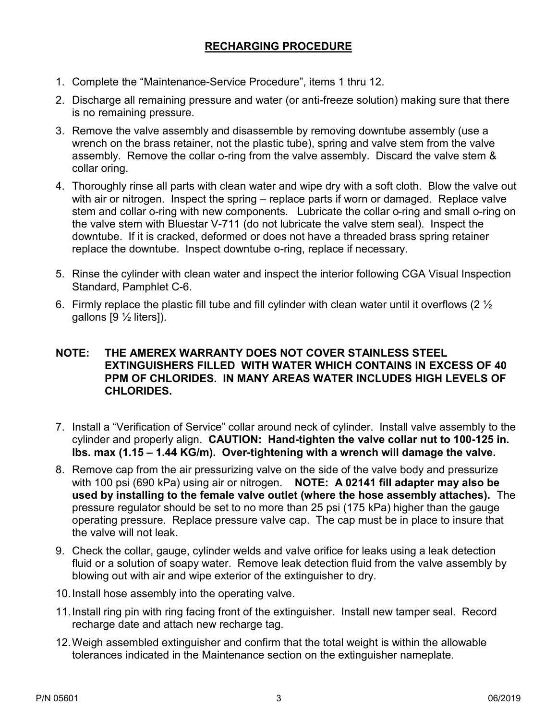## **RECHARGING PROCEDURE**

- 1. Complete the "Maintenance-Service Procedure", items 1 thru 12.
- 2. Discharge all remaining pressure and water (or anti-freeze solution) making sure that there is no remaining pressure.
- 3. Remove the valve assembly and disassemble by removing downtube assembly (use a wrench on the brass retainer, not the plastic tube), spring and valve stem from the valve assembly. Remove the collar o-ring from the valve assembly. Discard the valve stem & collar oring.
- 4. Thoroughly rinse all parts with clean water and wipe dry with a soft cloth. Blow the valve out with air or nitrogen. Inspect the spring – replace parts if worn or damaged. Replace valve stem and collar o-ring with new components. Lubricate the collar o-ring and small o-ring on the valve stem with Bluestar V-711 (do not lubricate the valve stem seal). Inspect the downtube. If it is cracked, deformed or does not have a threaded brass spring retainer replace the downtube. Inspect downtube o-ring, replace if necessary.
- 5. Rinse the cylinder with clean water and inspect the interior following CGA Visual Inspection Standard, Pamphlet C-6.
- 6. Firmly replace the plastic fill tube and fill cylinder with clean water until it overflows (2  $\frac{1}{2}$ gallons [9 ½ liters]).

#### **NOTE: THE AMEREX WARRANTY DOES NOT COVER STAINLESS STEEL EXTINGUISHERS FILLED WITH WATER WHICH CONTAINS IN EXCESS OF 40 PPM OF CHLORIDES. IN MANY AREAS WATER INCLUDES HIGH LEVELS OF CHLORIDES.**

- 7. Install a "Verification of Service" collar around neck of cylinder. Install valve assembly to the cylinder and properly align. **CAUTION: Hand-tighten the valve collar nut to 100-125 in. lbs. max (1.15 – 1.44 KG/m). Over-tightening with a wrench will damage the valve.**
- 8. Remove cap from the air pressurizing valve on the side of the valve body and pressurize with 100 psi (690 kPa) using air or nitrogen. **NOTE: A 02141 fill adapter may also be used by installing to the female valve outlet (where the hose assembly attaches).** The pressure regulator should be set to no more than 25 psi (175 kPa) higher than the gauge operating pressure. Replace pressure valve cap. The cap must be in place to insure that the valve will not leak.
- 9. Check the collar, gauge, cylinder welds and valve orifice for leaks using a leak detection fluid or a solution of soapy water. Remove leak detection fluid from the valve assembly by blowing out with air and wipe exterior of the extinguisher to dry.
- 10.Install hose assembly into the operating valve.
- 11.Install ring pin with ring facing front of the extinguisher. Install new tamper seal. Record recharge date and attach new recharge tag.
- 12.Weigh assembled extinguisher and confirm that the total weight is within the allowable tolerances indicated in the Maintenance section on the extinguisher nameplate.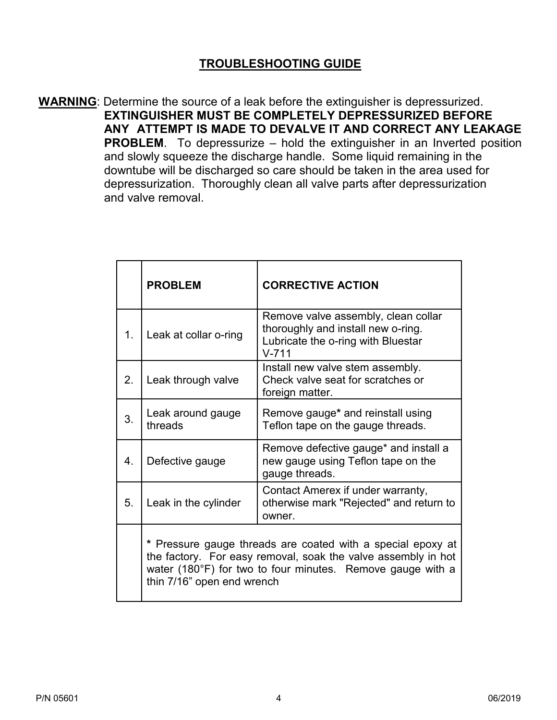## **TROUBLESHOOTING GUIDE**

**WARNING**: Determine the source of a leak before the extinguisher is depressurized. **EXTINGUISHER MUST BE COMPLETELY DEPRESSURIZED BEFORE ANY ATTEMPT IS MADE TO DEVALVE IT AND CORRECT ANY LEAKAGE PROBLEM**. To depressurize – hold the extinguisher in an Inverted position and slowly squeeze the discharge handle. Some liquid remaining in the downtube will be discharged so care should be taken in the area used for depressurization. Thoroughly clean all valve parts after depressurization and valve removal.

|                  | <b>PROBLEM</b>                                                                                                                                                                                                           | <b>CORRECTIVE ACTION</b>                                                                                                     |
|------------------|--------------------------------------------------------------------------------------------------------------------------------------------------------------------------------------------------------------------------|------------------------------------------------------------------------------------------------------------------------------|
| 1.               | Leak at collar o-ring                                                                                                                                                                                                    | Remove valve assembly, clean collar<br>thoroughly and install new o-ring.<br>Lubricate the o-ring with Bluestar<br>$V - 711$ |
| 2.               | Leak through valve                                                                                                                                                                                                       | Install new valve stem assembly.<br>Check valve seat for scratches or<br>foreign matter.                                     |
| 3.               | Leak around gauge<br>threads                                                                                                                                                                                             | Remove gauge* and reinstall using<br>Teflon tape on the gauge threads.                                                       |
| $\overline{4}$ . | Defective gauge                                                                                                                                                                                                          | Remove defective gauge* and install a<br>new gauge using Teflon tape on the<br>gauge threads.                                |
| 5.               | Leak in the cylinder                                                                                                                                                                                                     | Contact Amerex if under warranty,<br>otherwise mark "Rejected" and return to<br>owner.                                       |
|                  | * Pressure gauge threads are coated with a special epoxy at<br>the factory. For easy removal, soak the valve assembly in hot<br>water (180°F) for two to four minutes. Remove gauge with a<br>thin 7/16" open end wrench |                                                                                                                              |